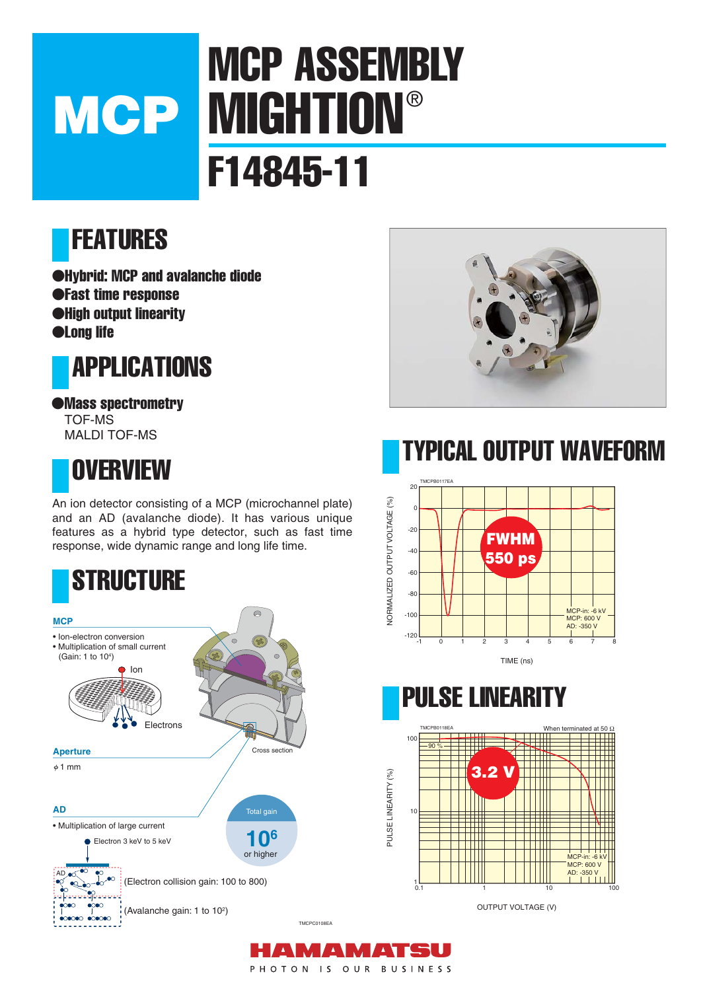# MCP ASSEMBLY **MCP MIGHTION®** F14845-11

# FEATURES

●Hybrid: MCP and avalanche diode ●Fast time response ●High output linearity ●Long life



●Mass spectrometry TOF-MS MALDI TOF-MS

### **OVERVIEW**

An ion detector consisting of a MCP (microchannel plate) and an AD (avalanche diode). It has various unique features as a hybrid type detector, such as fast time response, wide dynamic range and long life time.





### TYPICAL OUTPUT WAVEFORM



### PULSE LINEARITY



OUTPUT VOLTAGE (V)

PHOTON IS OUR BUSINESS

 $\blacktriangle$ 

 $\blacktriangle$